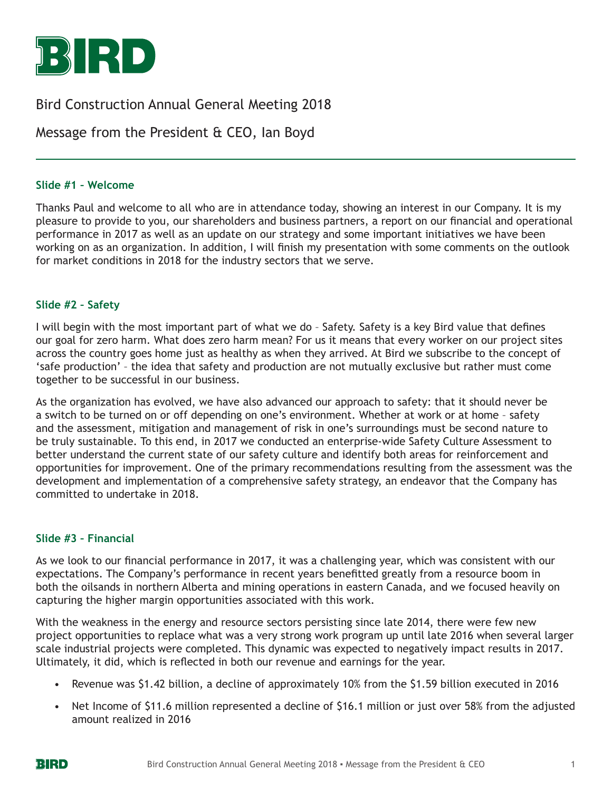

# Bird Construction Annual General Meeting 2018

# Message from the President & CEO, Ian Boyd

#### **Slide #1 – Welcome**

Thanks Paul and welcome to all who are in attendance today, showing an interest in our Company. It is my pleasure to provide to you, our shareholders and business partners, a report on our financial and operational performance in 2017 as well as an update on our strategy and some important initiatives we have been working on as an organization. In addition, I will finish my presentation with some comments on the outlook for market conditions in 2018 for the industry sectors that we serve.

#### **Slide #2 – Safety**

I will begin with the most important part of what we do – Safety. Safety is a key Bird value that defines our goal for zero harm. What does zero harm mean? For us it means that every worker on our project sites across the country goes home just as healthy as when they arrived. At Bird we subscribe to the concept of 'safe production' – the idea that safety and production are not mutually exclusive but rather must come together to be successful in our business.

As the organization has evolved, we have also advanced our approach to safety: that it should never be a switch to be turned on or off depending on one's environment. Whether at work or at home – safety and the assessment, mitigation and management of risk in one's surroundings must be second nature to be truly sustainable. To this end, in 2017 we conducted an enterprise-wide Safety Culture Assessment to better understand the current state of our safety culture and identify both areas for reinforcement and opportunities for improvement. One of the primary recommendations resulting from the assessment was the development and implementation of a comprehensive safety strategy, an endeavor that the Company has committed to undertake in 2018.

#### **Slide #3 – Financial**

As we look to our financial performance in 2017, it was a challenging year, which was consistent with our expectations. The Company's performance in recent years benefitted greatly from a resource boom in both the oilsands in northern Alberta and mining operations in eastern Canada, and we focused heavily on capturing the higher margin opportunities associated with this work.

With the weakness in the energy and resource sectors persisting since late 2014, there were few new project opportunities to replace what was a very strong work program up until late 2016 when several larger scale industrial projects were completed. This dynamic was expected to negatively impact results in 2017. Ultimately, it did, which is reflected in both our revenue and earnings for the year.

- Revenue was \$1.42 billion, a decline of approximately 10% from the \$1.59 billion executed in 2016
- Net Income of \$11.6 million represented a decline of \$16.1 million or just over 58% from the adjusted amount realized in 2016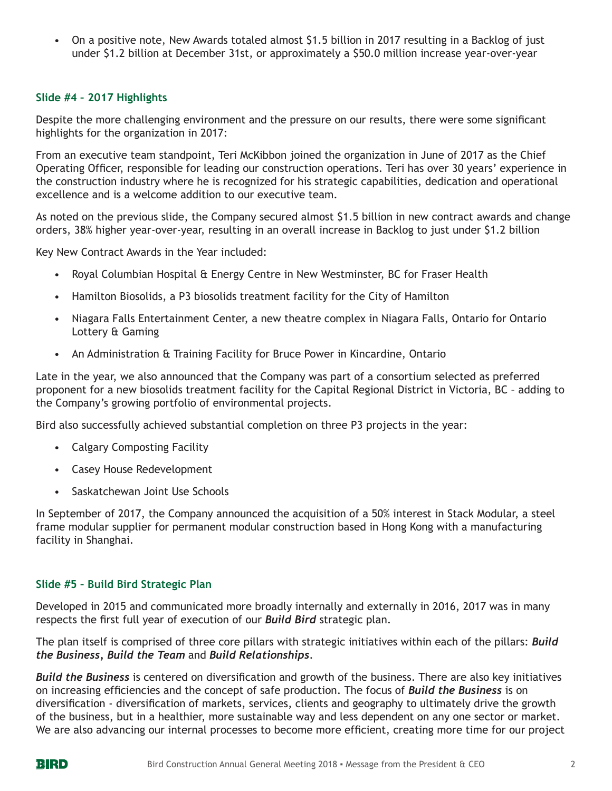• On a positive note, New Awards totaled almost \$1.5 billion in 2017 resulting in a Backlog of just under \$1.2 billion at December 31st, or approximately a \$50.0 million increase year-over-year

## **Slide #4 – 2017 Highlights**

Despite the more challenging environment and the pressure on our results, there were some significant highlights for the organization in 2017:

From an executive team standpoint, Teri McKibbon joined the organization in June of 2017 as the Chief Operating Officer, responsible for leading our construction operations. Teri has over 30 years' experience in the construction industry where he is recognized for his strategic capabilities, dedication and operational excellence and is a welcome addition to our executive team.

As noted on the previous slide, the Company secured almost \$1.5 billion in new contract awards and change orders, 38% higher year-over-year, resulting in an overall increase in Backlog to just under \$1.2 billion

Key New Contract Awards in the Year included:

- Royal Columbian Hospital & Energy Centre in New Westminster, BC for Fraser Health
- Hamilton Biosolids, a P3 biosolids treatment facility for the City of Hamilton
- Niagara Falls Entertainment Center, a new theatre complex in Niagara Falls, Ontario for Ontario Lottery & Gaming
- An Administration & Training Facility for Bruce Power in Kincardine, Ontario

Late in the year, we also announced that the Company was part of a consortium selected as preferred proponent for a new biosolids treatment facility for the Capital Regional District in Victoria, BC – adding to the Company's growing portfolio of environmental projects.

Bird also successfully achieved substantial completion on three P3 projects in the year:

- Calgary Composting Facility
- Casey House Redevelopment
- Saskatchewan Joint Use Schools

In September of 2017, the Company announced the acquisition of a 50% interest in Stack Modular, a steel frame modular supplier for permanent modular construction based in Hong Kong with a manufacturing facility in Shanghai.

## **Slide #5 – Build Bird Strategic Plan**

Developed in 2015 and communicated more broadly internally and externally in 2016, 2017 was in many respects the first full year of execution of our *Build Bird* strategic plan.

The plan itself is comprised of three core pillars with strategic initiatives within each of the pillars: *Build the Business, Build the Team* and *Build Relationships*.

*Build the Business* is centered on diversification and growth of the business. There are also key initiatives on increasing efficiencies and the concept of safe production. The focus of *Build the Business* is on diversification - diversification of markets, services, clients and geography to ultimately drive the growth of the business, but in a healthier, more sustainable way and less dependent on any one sector or market. We are also advancing our internal processes to become more efficient, creating more time for our project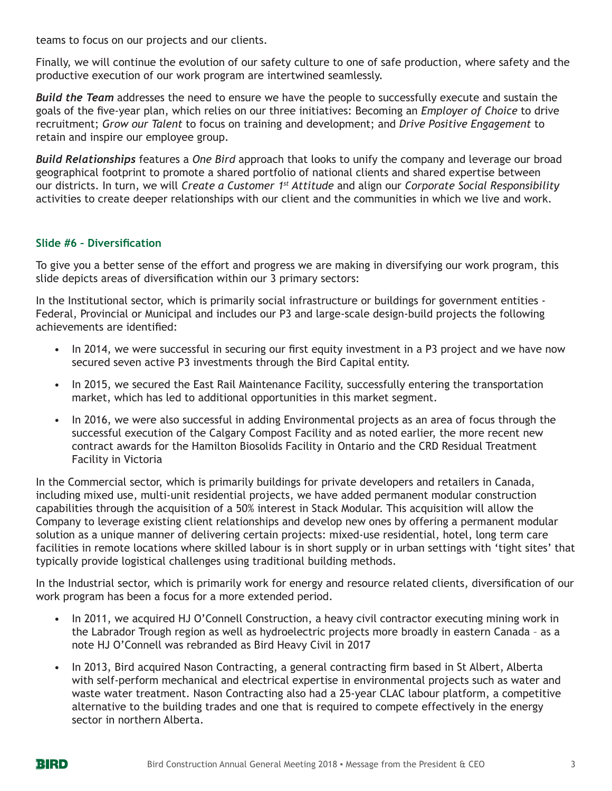teams to focus on our projects and our clients.

Finally, we will continue the evolution of our safety culture to one of safe production, where safety and the productive execution of our work program are intertwined seamlessly.

*Build the Team* addresses the need to ensure we have the people to successfully execute and sustain the goals of the five-year plan, which relies on our three initiatives: Becoming an *Employer of Choice* to drive recruitment; *Grow our Talent* to focus on training and development; and *Drive Positive Engagement* to retain and inspire our employee group.

*Build Relationships* features a *One Bird* approach that looks to unify the company and leverage our broad geographical footprint to promote a shared portfolio of national clients and shared expertise between our districts. In turn, we will *Create a Customer 1st Attitude* and align our *Corporate Social Responsibility* activities to create deeper relationships with our client and the communities in which we live and work.

## **Slide #6 – Diversification**

To give you a better sense of the effort and progress we are making in diversifying our work program, this slide depicts areas of diversification within our 3 primary sectors:

In the Institutional sector, which is primarily social infrastructure or buildings for government entities - Federal, Provincial or Municipal and includes our P3 and large-scale design-build projects the following achievements are identified:

- In 2014, we were successful in securing our first equity investment in a P3 project and we have now secured seven active P3 investments through the Bird Capital entity.
- In 2015, we secured the East Rail Maintenance Facility, successfully entering the transportation market, which has led to additional opportunities in this market segment.
- In 2016, we were also successful in adding Environmental projects as an area of focus through the successful execution of the Calgary Compost Facility and as noted earlier, the more recent new contract awards for the Hamilton Biosolids Facility in Ontario and the CRD Residual Treatment Facility in Victoria

In the Commercial sector, which is primarily buildings for private developers and retailers in Canada, including mixed use, multi-unit residential projects, we have added permanent modular construction capabilities through the acquisition of a 50% interest in Stack Modular. This acquisition will allow the Company to leverage existing client relationships and develop new ones by offering a permanent modular solution as a unique manner of delivering certain projects: mixed-use residential, hotel, long term care facilities in remote locations where skilled labour is in short supply or in urban settings with 'tight sites' that typically provide logistical challenges using traditional building methods.

In the Industrial sector, which is primarily work for energy and resource related clients, diversification of our work program has been a focus for a more extended period.

- In 2011, we acquired HJ O'Connell Construction, a heavy civil contractor executing mining work in the Labrador Trough region as well as hydroelectric projects more broadly in eastern Canada – as a note HJ O'Connell was rebranded as Bird Heavy Civil in 2017
- In 2013, Bird acquired Nason Contracting, a general contracting firm based in St Albert, Alberta with self-perform mechanical and electrical expertise in environmental projects such as water and waste water treatment. Nason Contracting also had a 25-year CLAC labour platform, a competitive alternative to the building trades and one that is required to compete effectively in the energy sector in northern Alberta.

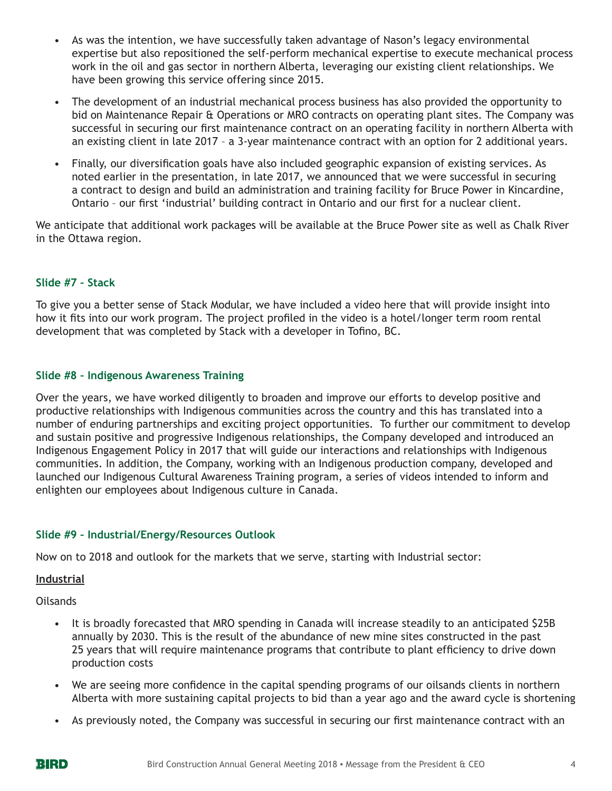- As was the intention, we have successfully taken advantage of Nason's legacy environmental expertise but also repositioned the self-perform mechanical expertise to execute mechanical process work in the oil and gas sector in northern Alberta, leveraging our existing client relationships. We have been growing this service offering since 2015.
- The development of an industrial mechanical process business has also provided the opportunity to bid on Maintenance Repair & Operations or MRO contracts on operating plant sites. The Company was successful in securing our first maintenance contract on an operating facility in northern Alberta with an existing client in late 2017 – a 3-year maintenance contract with an option for 2 additional years.
- Finally, our diversification goals have also included geographic expansion of existing services. As noted earlier in the presentation, in late 2017, we announced that we were successful in securing a contract to design and build an administration and training facility for Bruce Power in Kincardine, Ontario – our first 'industrial' building contract in Ontario and our first for a nuclear client.

We anticipate that additional work packages will be available at the Bruce Power site as well as Chalk River in the Ottawa region.

## **Slide #7 – Stack**

To give you a better sense of Stack Modular, we have included a video here that will provide insight into how it fits into our work program. The project profiled in the video is a hotel/longer term room rental development that was completed by Stack with a developer in Tofino, BC.

## **Slide #8 – Indigenous Awareness Training**

Over the years, we have worked diligently to broaden and improve our efforts to develop positive and productive relationships with Indigenous communities across the country and this has translated into a number of enduring partnerships and exciting project opportunities. To further our commitment to develop and sustain positive and progressive Indigenous relationships, the Company developed and introduced an Indigenous Engagement Policy in 2017 that will guide our interactions and relationships with Indigenous communities. In addition, the Company, working with an Indigenous production company, developed and launched our Indigenous Cultural Awareness Training program, a series of videos intended to inform and enlighten our employees about Indigenous culture in Canada.

## **Slide #9 – Industrial/Energy/Resources Outlook**

Now on to 2018 and outlook for the markets that we serve, starting with Industrial sector:

#### **Industrial**

Oilsands

- It is broadly forecasted that MRO spending in Canada will increase steadily to an anticipated \$25B annually by 2030. This is the result of the abundance of new mine sites constructed in the past 25 years that will require maintenance programs that contribute to plant efficiency to drive down production costs
- We are seeing more confidence in the capital spending programs of our oilsands clients in northern Alberta with more sustaining capital projects to bid than a year ago and the award cycle is shortening
- As previously noted, the Company was successful in securing our first maintenance contract with an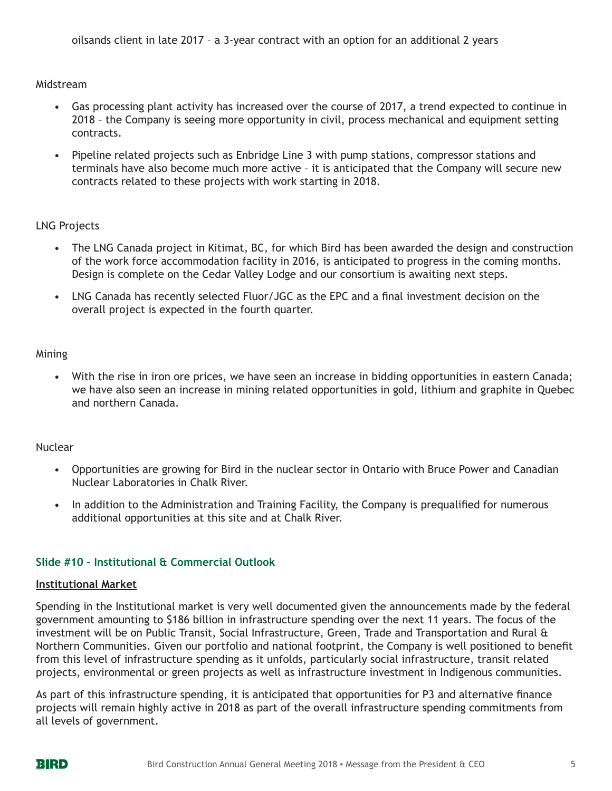Midstream

- Gas processing plant activity has increased over the course of 2017, a trend expected to continue in 2018 – the Company is seeing more opportunity in civil, process mechanical and equipment setting contracts.
- Pipeline related projects such as Enbridge Line 3 with pump stations, compressor stations and terminals have also become much more active – it is anticipated that the Company will secure new contracts related to these projects with work starting in 2018.

#### LNG Projects

- The LNG Canada project in Kitimat, BC, for which Bird has been awarded the design and construction of the work force accommodation facility in 2016, is anticipated to progress in the coming months. Design is complete on the Cedar Valley Lodge and our consortium is awaiting next steps.
- LNG Canada has recently selected Fluor/JGC as the EPC and a final investment decision on the overall project is expected in the fourth quarter.

#### Mining

• With the rise in iron ore prices, we have seen an increase in bidding opportunities in eastern Canada; we have also seen an increase in mining related opportunities in gold, lithium and graphite in Quebec and northern Canada.

#### Nuclear

- Opportunities are growing for Bird in the nuclear sector in Ontario with Bruce Power and Canadian Nuclear Laboratories in Chalk River.
- In addition to the Administration and Training Facility, the Company is prequalified for numerous additional opportunities at this site and at Chalk River.

## **Slide #10 – Institutional & Commercial Outlook**

#### **Institutional Market**

Spending in the Institutional market is very well documented given the announcements made by the federal government amounting to \$186 billion in infrastructure spending over the next 11 years. The focus of the investment will be on Public Transit, Social Infrastructure, Green, Trade and Transportation and Rural & Northern Communities. Given our portfolio and national footprint, the Company is well positioned to benefit from this level of infrastructure spending as it unfolds, particularly social infrastructure, transit related projects, environmental or green projects as well as infrastructure investment in Indigenous communities.

As part of this infrastructure spending, it is anticipated that opportunities for P3 and alternative finance projects will remain highly active in 2018 as part of the overall infrastructure spending commitments from all levels of government.